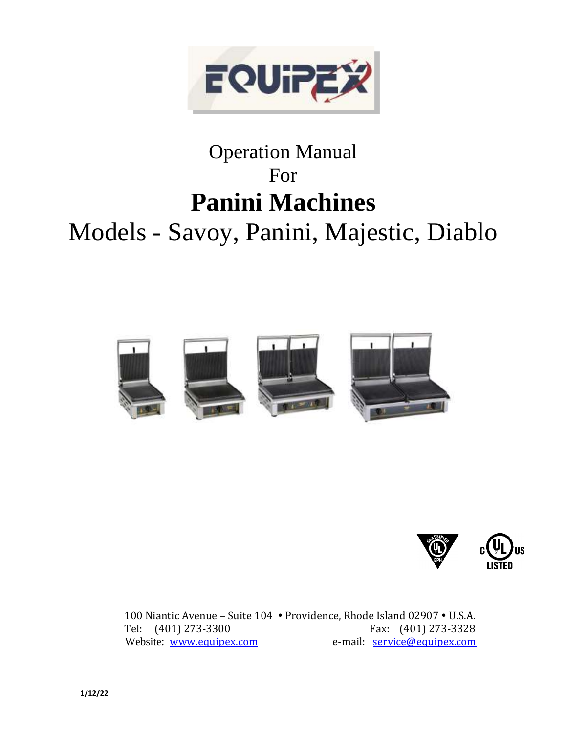

# Operation Manual For **Panini Machines** Models - Savoy, Panini, Majestic, Diablo





100 Niantic Avenue - Suite 104 · Providence, Rhode Island 02907 · U.S.A. Tel: (401) 273-3300 Fax: (401) 273-3328 Website: [www.equipex.com](http://www.equipex.com/) e-mail: [service@equipex.com](mailto:service@equipex.com)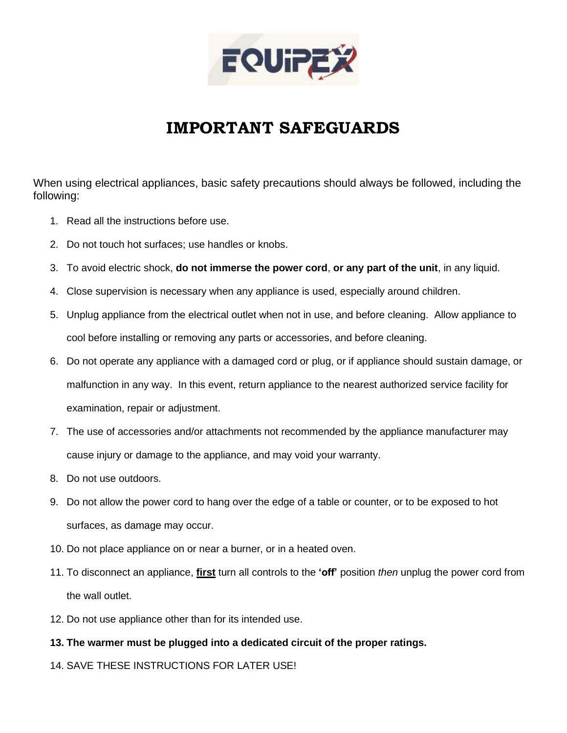

## **IMPORTANT SAFEGUARDS**

When using electrical appliances, basic safety precautions should always be followed, including the following:

- 1. Read all the instructions before use.
- 2. Do not touch hot surfaces; use handles or knobs.
- 3. To avoid electric shock, **do not immerse the power cord**, **or any part of the unit**, in any liquid.
- 4. Close supervision is necessary when any appliance is used, especially around children.
- 5. Unplug appliance from the electrical outlet when not in use, and before cleaning. Allow appliance to cool before installing or removing any parts or accessories, and before cleaning.
- 6. Do not operate any appliance with a damaged cord or plug, or if appliance should sustain damage, or malfunction in any way. In this event, return appliance to the nearest authorized service facility for examination, repair or adjustment.
- 7. The use of accessories and/or attachments not recommended by the appliance manufacturer may cause injury or damage to the appliance, and may void your warranty.
- 8. Do not use outdoors.
- 9. Do not allow the power cord to hang over the edge of a table or counter, or to be exposed to hot surfaces, as damage may occur.
- 10. Do not place appliance on or near a burner, or in a heated oven.
- 11. To disconnect an appliance, **first** turn all controls to the **'off'** position *then* unplug the power cord from the wall outlet.
- 12. Do not use appliance other than for its intended use.
- **13. The warmer must be plugged into a dedicated circuit of the proper ratings.**
- 14. SAVE THESE INSTRUCTIONS FOR LATER USE!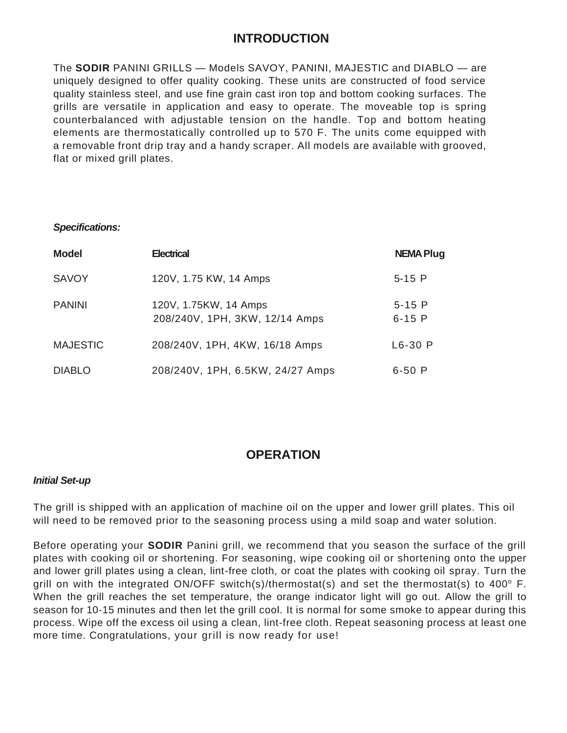### **INTRODUCTION**

The **SODIR** PANINI GRILLS — Models SAVOY, PANINI, MAJESTIC and DIABLO — are uniquely designed to offer quality cooking. These units are constructed of food service quality stainless steel, and use fine grain cast iron top and bottom cooking surfaces. The grills are versatile in application and easy to operate. The moveable top is spring counterbalanced with adjustable tension on the handle. Top and bottom heating elements are thermostatically controlled up to 570 F. The units come equipped with a removable front drip tray and a handy scraper. All models are available with grooved, flat or mixed grill plates.

### *Specifications:*

| <b>Model</b>    | <b>Electrical</b>                                       | <b>NEMA Plug</b>      |
|-----------------|---------------------------------------------------------|-----------------------|
| <b>SAVOY</b>    | 120V, 1.75 KW, 14 Amps                                  | $5-15$ P              |
| <b>PANINI</b>   | 120V, 1.75KW, 14 Amps<br>208/240V, 1PH, 3KW, 12/14 Amps | $5-15$ P<br>$6 - 15P$ |
| <b>MAJESTIC</b> | 208/240V, 1PH, 4KW, 16/18 Amps                          | $L6-30$ P             |
| <b>DIABLO</b>   | 208/240V, 1PH, 6.5KW, 24/27 Amps                        | $6 - 50P$             |

### **OPERATION**

### *Initial Set-up*

The grill is shipped with an application of machine oil on the upper and lower grill plates. This oil will need to be removed prior to the seasoning process using a mild soap and water solution.

Before operating your **SODIR** Panini grill, we recommend that you season the surface of the grill plates with cooking oil or shortening. For seasoning, wipe cooking oil or shortening onto the upper and lower grill plates using a clean, lint-free cloth, or coat the plates with cooking oil spray. Turn the grill on with the integrated ON/OFF switch(s)/thermostat(s) and set the thermostat(s) to 400 $^{\circ}$  F. When the grill reaches the set temperature, the orange indicator light will go out. Allow the grill to season for 10-15 minutes and then let the grill cool. It is normal for some smoke to appear during this process. Wipe off the excess oil using a clean, lint-free cloth. Repeat seasoning process at least one more time. Congratulations, your grill is now ready for use!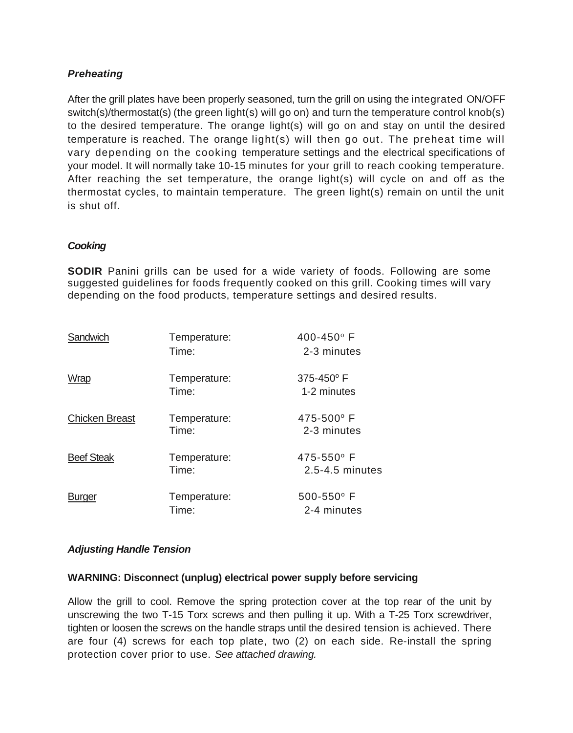### *Preheating*

After the grill plates have been properly seasoned, turn the grill on using the integrated ON/OFF switch(s)/thermostat(s) (the green light(s) will go on) and turn the temperature control knob(s) to the desired temperature. The orange light(s) will go on and stay on until the desired temperature is reached. The orange light(s) will then go out. The preheat time will vary depending on the cooking temperature settings and the electrical specifications of your model. It will normally take 10-15 minutes for your grill to reach cooking temperature. After reaching the set temperature, the orange light(s) will cycle on and off as the thermostat cycles, to maintain temperature. The green light(s) remain on until the unit is shut off.

### *Cooking*

**SODIR** Panini grills can be used for a wide variety of foods. Following are some suggested guidelines for foods frequently cooked on this grill. Cooking times will vary depending on the food products, temperature settings and desired results.

| Sandwich              | Temperature:<br>Time: | 400-450° F<br>2-3 minutes         |
|-----------------------|-----------------------|-----------------------------------|
| Wrap                  | Temperature:<br>Time: | 375-450°F<br>1-2 minutes          |
| <b>Chicken Breast</b> | Temperature:<br>Time: | 475-500° F<br>2-3 minutes         |
| <b>Beef Steak</b>     | Temperature:<br>Time: | $475 - 550$ °F<br>2.5-4.5 minutes |
| <b>Burger</b>         | Temperature:<br>Time: | 500-550° F<br>2-4 minutes         |

### *Adjusting Handle Tension*

#### **WARNING: Disconnect (unplug) electrical power supply before servicing**

Allow the grill to cool. Remove the spring protection cover at the top rear of the unit by unscrewing the two T-15 Torx screws and then pulling it up. With a T-25 Torx screwdriver, tighten or loosen the screws on the handle straps until the desired tension is achieved. There are four (4) screws for each top plate, two (2) on each side. Re-install the spring protection cover prior to use. *See attached drawing.*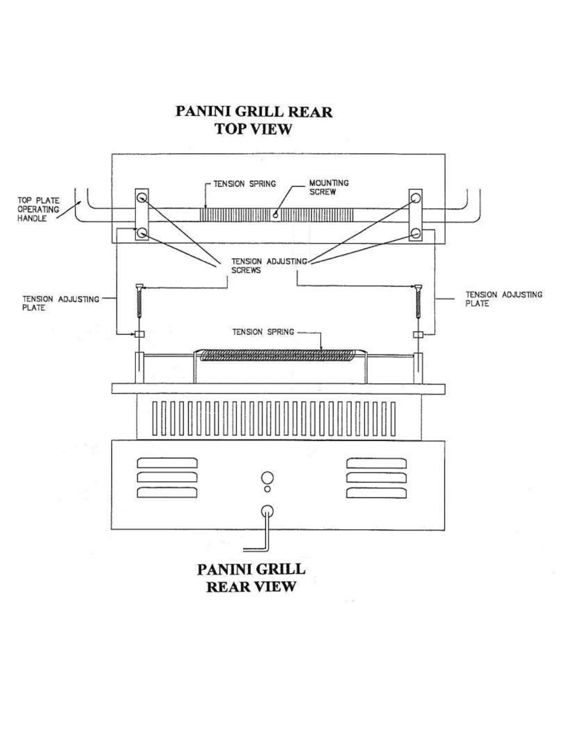PANINI GRILL REAR **TOP VIEW** 

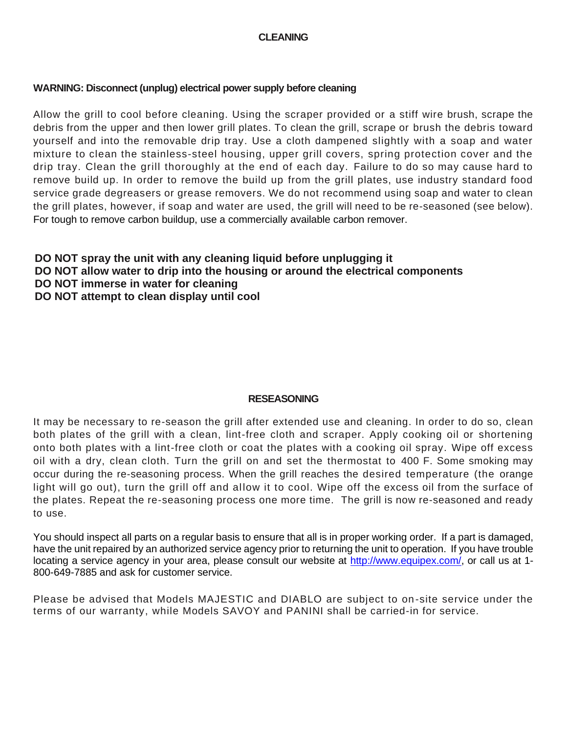### **CLEANING**

### **WARNING: Disconnect (unplug) electrical power supply before cleaning**

Allow the grill to cool before cleaning. Using the scraper provided or a stiff wire brush, scrape the debris from the upper and then lower grill plates. To clean the grill, scrape or brush the debris toward yourself and into the removable drip tray. Use a cloth dampened slightly with a soap and water mixture to clean the stainless-steel housing, upper grill covers, spring protection cover and the drip tray. Clean the grill thoroughly at the end of each day. Failure to do so may cause hard to remove build up. In order to remove the build up from the grill plates, use industry standard food service grade degreasers or grease removers. We do not recommend using soap and water to clean the grill plates, however, if soap and water are used, the grill will need to be re-seasoned (see below). For tough to remove carbon buildup, use a commercially available carbon remover.

### **DO NOT spray the unit with any cleaning liquid before unplugging it DO NOT allow water to drip into the housing or around the electrical components DO NOT immerse in water for cleaning**

**DO NOT attempt to clean display until cool**

### **RESEASONING**

It may be necessary to re-season the grill after extended use and cleaning. In order to do so, clean both plates of the grill with a clean, lint-free cloth and scraper. Apply cooking oil or shortening onto both plates with a lint-free cloth or coat the plates with a cooking oil spray. Wipe off excess oil with a dry, clean cloth. Turn the grill on and set the thermostat to 400 F. Some smoking may occur during the re-seasoning process. When the grill reaches the desired temperature (the orange light will go out), turn the grill off and allow it to cool. Wipe off the excess oil from the surface of the plates. Repeat the re-seasoning process one more time. The grill is now re-seasoned and ready to use.

You should inspect all parts on a regular basis to ensure that all is in proper working order. If a part is damaged, have the unit repaired by an authorized service agency prior to returning the unit to operation. If you have trouble locating a service agency in your area, please consult our website at [http://www.equipex.com/,](http://www.equipex.com/) or call us at 1-800-649-7885 and ask for customer service.

Please be advised that Models MAJESTIC and DIABLO are subject to on-site service under the terms of our warranty, while Models SAVOY and PANINI shall be carried-in for service.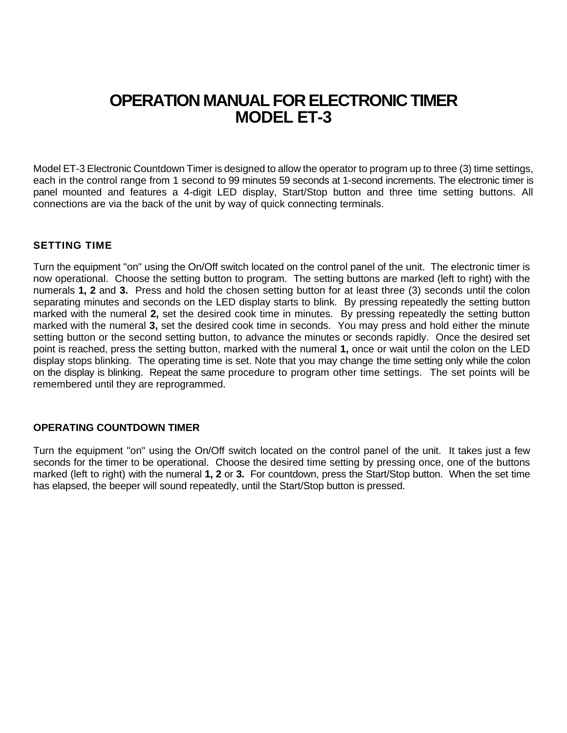### **OPERATION MANUAL FOR ELECTRONIC TIMER MODEL ET-3**

Model ET-3 Electronic Countdown Timer is designed to allow the operator to program up to three (3) time settings, each in the control range from 1 second to 99 minutes 59 seconds at 1-second increments. The electronic timer is panel mounted and features a 4-digit LED display, Start/Stop button and three time setting buttons. All connections are via the back of the unit by way of quick connecting terminals.

### **SETTING TIME**

Turn the equipment "on" using the On/Off switch located on the control panel of the unit. The electronic timer is now operational. Choose the setting button to program. The setting buttons are marked (left to right) with the numerals **1, 2** and **3.** Press and hold the chosen setting button for at least three (3) seconds until the colon separating minutes and seconds on the LED display starts to blink. By pressing repeatedly the setting button marked with the numeral **2,** set the desired cook time in minutes. By pressing repeatedly the setting button marked with the numeral **3,** set the desired cook time in seconds. You may press and hold either the minute setting button or the second setting button, to advance the minutes or seconds rapidly. Once the desired set point is reached, press the setting button, marked with the numeral **1,** once or wait until the colon on the LED display stops blinking. The operating time is set. Note that you may change the time setting only while the colon on the display is blinking. Repeat the same procedure to program other time settings. The set points will be remembered until they are reprogrammed.

### **OPERATING COUNTDOWN TIMER**

Turn the equipment "on" using the On/Off switch located on the control panel of the unit. It takes just a few seconds for the timer to be operational. Choose the desired time setting by pressing once, one of the buttons marked (left to right) with the numeral **1, 2** or **3.** For countdown, press the Start/Stop button. When the set time has elapsed, the beeper will sound repeatedly, until the Start/Stop button is pressed.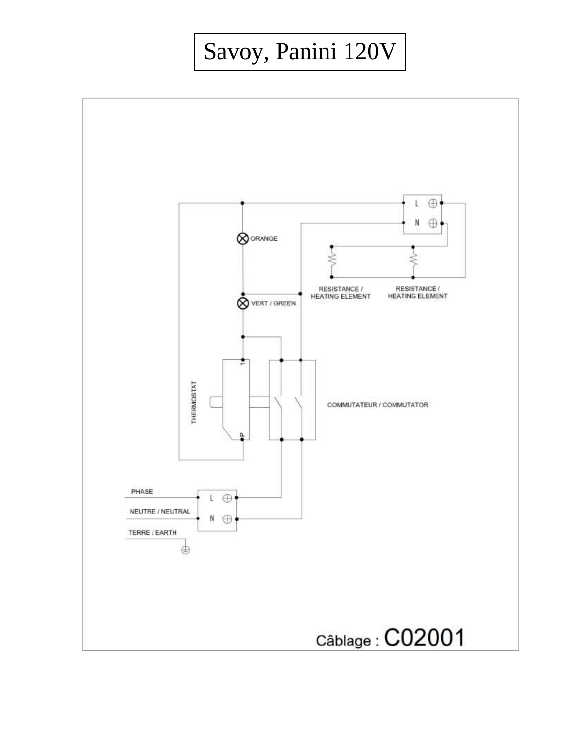# Savoy, Panini 120V

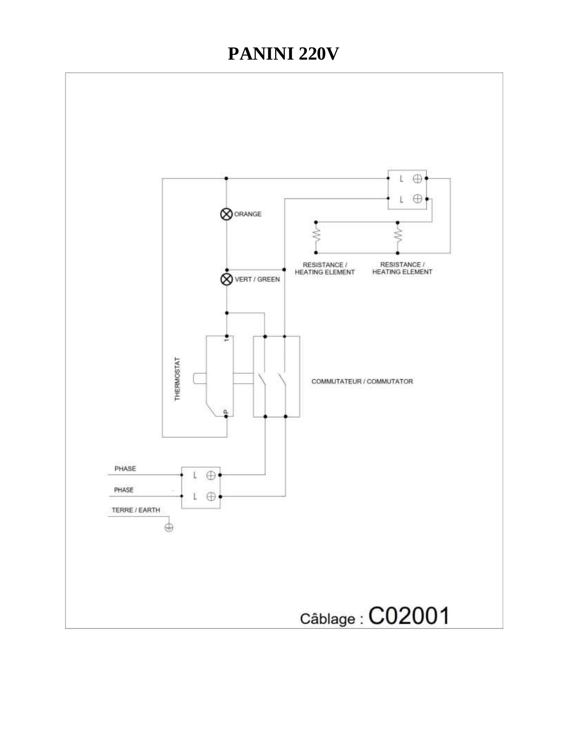# **PANINI 220V**

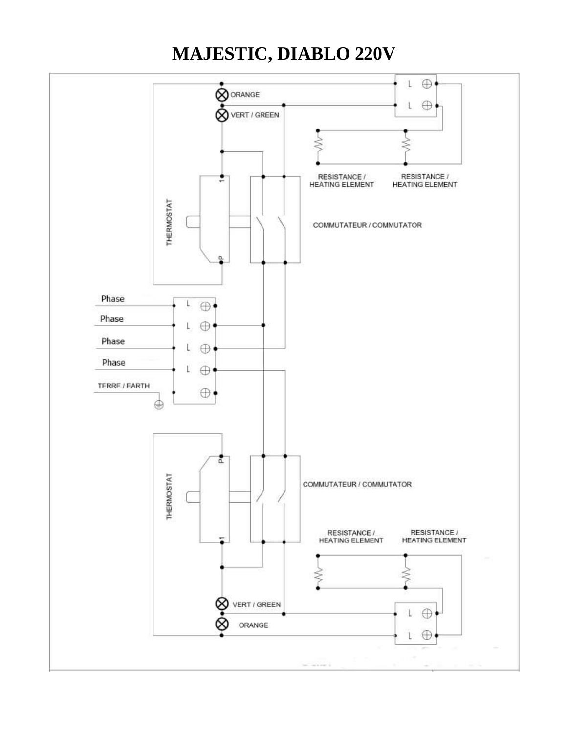# **MAJESTIC, DIABLO 220V**

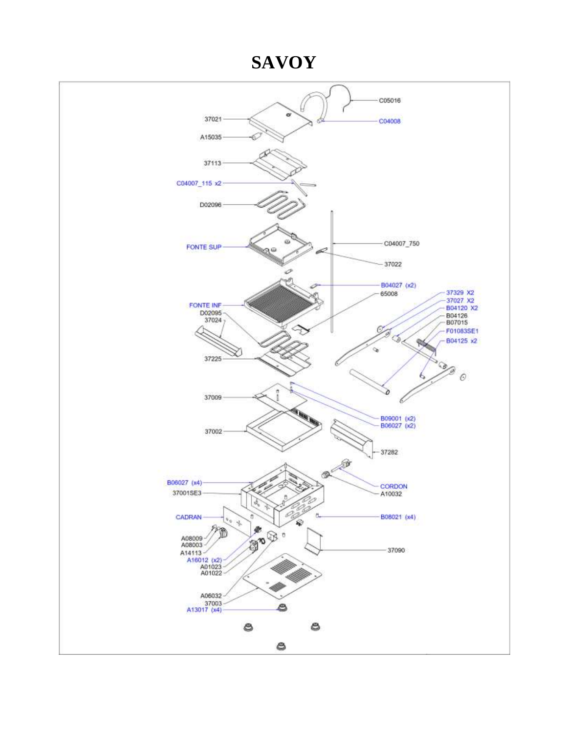### **SAVOY**

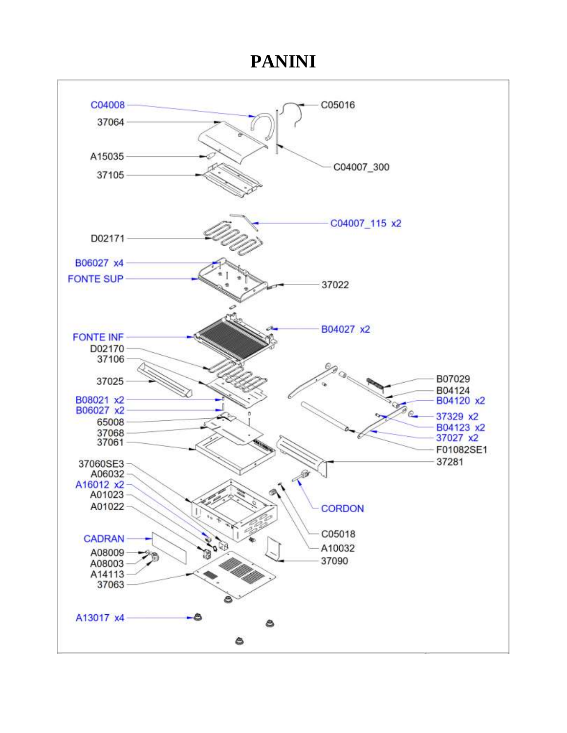## **PANINI**

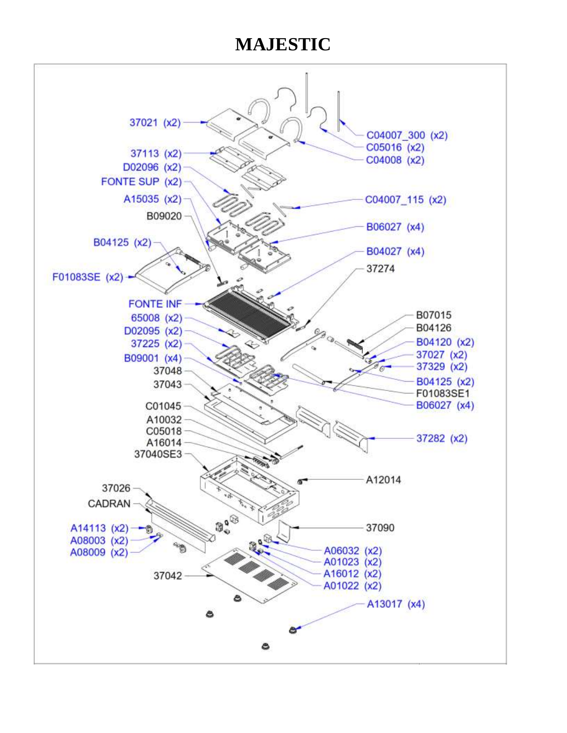# **MAJESTIC**

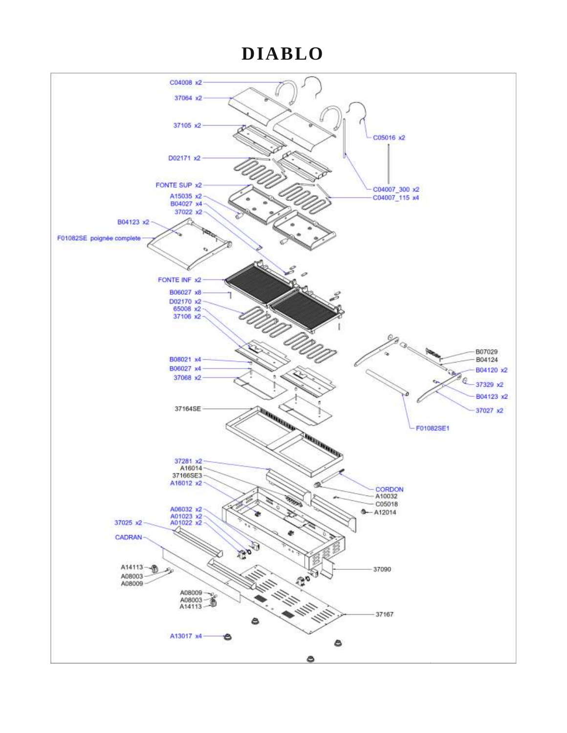# **DIABLO**